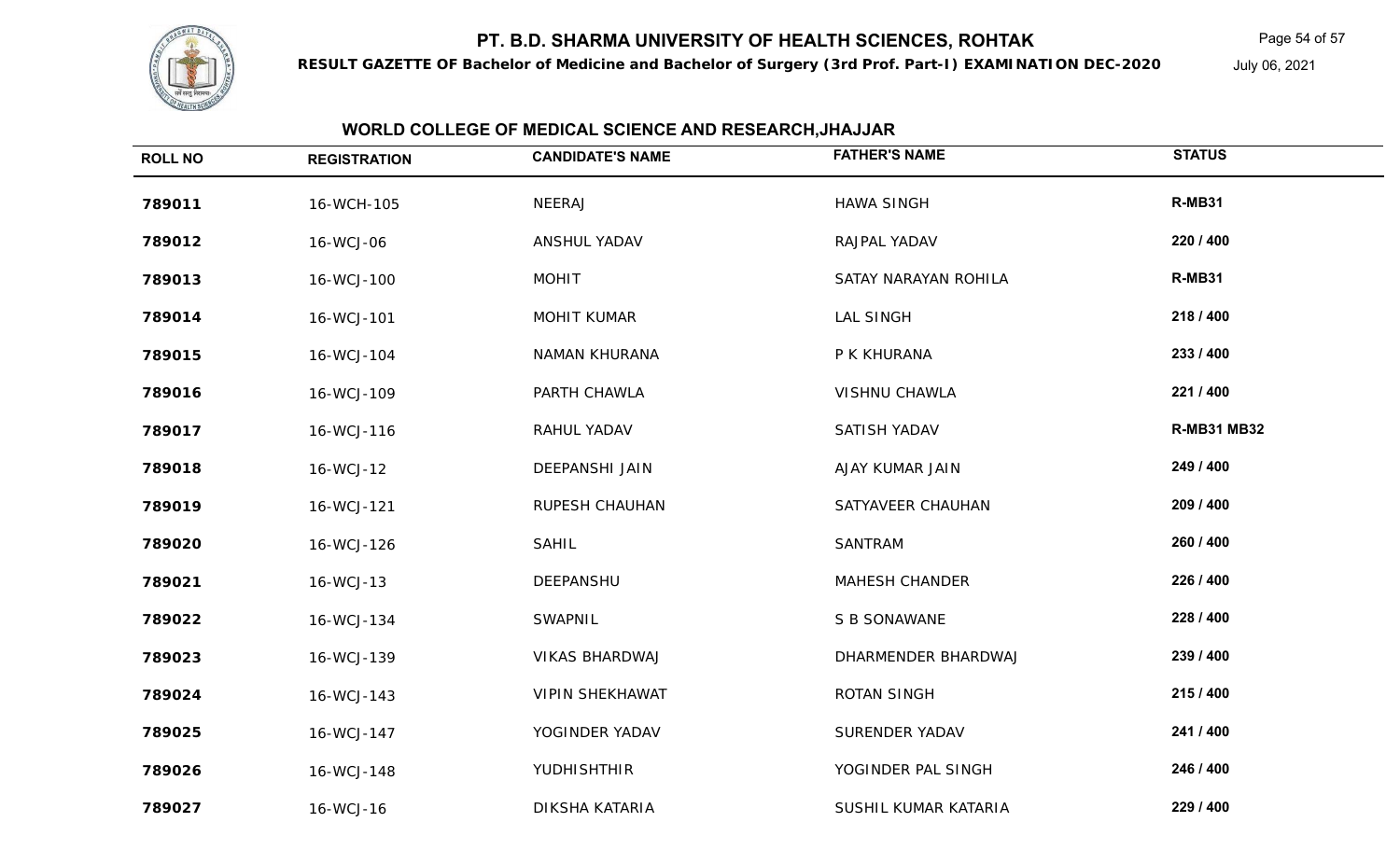

**RESULT GAZETTE OF Bachelor of Medicine and Bachelor of Surgery (3rd Prof. Part-I) EXAMINATION DEC-2020**

Page 54 of 57

July 06, 2021

| <b>ROLL NO</b> | <b>REGISTRATION</b> | <b>CANDIDATE'S NAME</b> | <b>FATHER'S NAME</b>  | <b>STATUS</b>      |
|----------------|---------------------|-------------------------|-----------------------|--------------------|
| 789011         | 16-WCH-105          | NEERAJ                  | <b>HAWA SINGH</b>     | R-MB31             |
| 789012         | 16-WCJ-06           | ANSHUL YADAV            | RAJPAL YADAV          | 220 / 400          |
| 789013         | 16-WCJ-100          | <b>MOHIT</b>            | SATAY NARAYAN ROHILA  | R-MB31             |
| 789014         | 16-WCJ-101          | <b>MOHIT KUMAR</b>      | <b>LAL SINGH</b>      | 218 / 400          |
| 789015         | 16-WCJ-104          | <b>NAMAN KHURANA</b>    | P K KHURANA           | 233 / 400          |
| 789016         | 16-WCJ-109          | PARTH CHAWLA            | <b>VISHNU CHAWLA</b>  | 221 / 400          |
| 789017         | 16-WCJ-116          | RAHUL YADAV             | SATISH YADAV          | <b>R-MB31 MB32</b> |
| 789018         | 16-WCJ-12           | <b>DEEPANSHI JAIN</b>   | AJAY KUMAR JAIN       | 249 / 400          |
| 789019         | 16-WCJ-121          | <b>RUPESH CHAUHAN</b>   | SATYAVEER CHAUHAN     | 209 / 400          |
| 789020         | 16-WCJ-126          | SAHIL                   | SANTRAM               | 260 / 400          |
| 789021         | 16-WCJ-13           | DEEPANSHU               | <b>MAHESH CHANDER</b> | 226 / 400          |
| 789022         | 16-WCJ-134          | <b>SWAPNIL</b>          | S B SONAWANE          | 228 / 400          |
| 789023         | 16-WCJ-139          | <b>VIKAS BHARDWAJ</b>   | DHARMENDER BHARDWAJ   | 239 / 400          |
| 789024         | 16-WCJ-143          | <b>VIPIN SHEKHAWAT</b>  | ROTAN SINGH           | 215 / 400          |
| 789025         | 16-WCJ-147          | YOGINDER YADAV          | SURENDER YADAV        | 241 / 400          |
| 789026         | 16-WCJ-148          | YUDHISHTHIR             | YOGINDER PAL SINGH    | 246 / 400          |
| 789027         | 16-WCJ-16           | DIKSHA KATARIA          | SUSHIL KUMAR KATARIA  | 229 / 400          |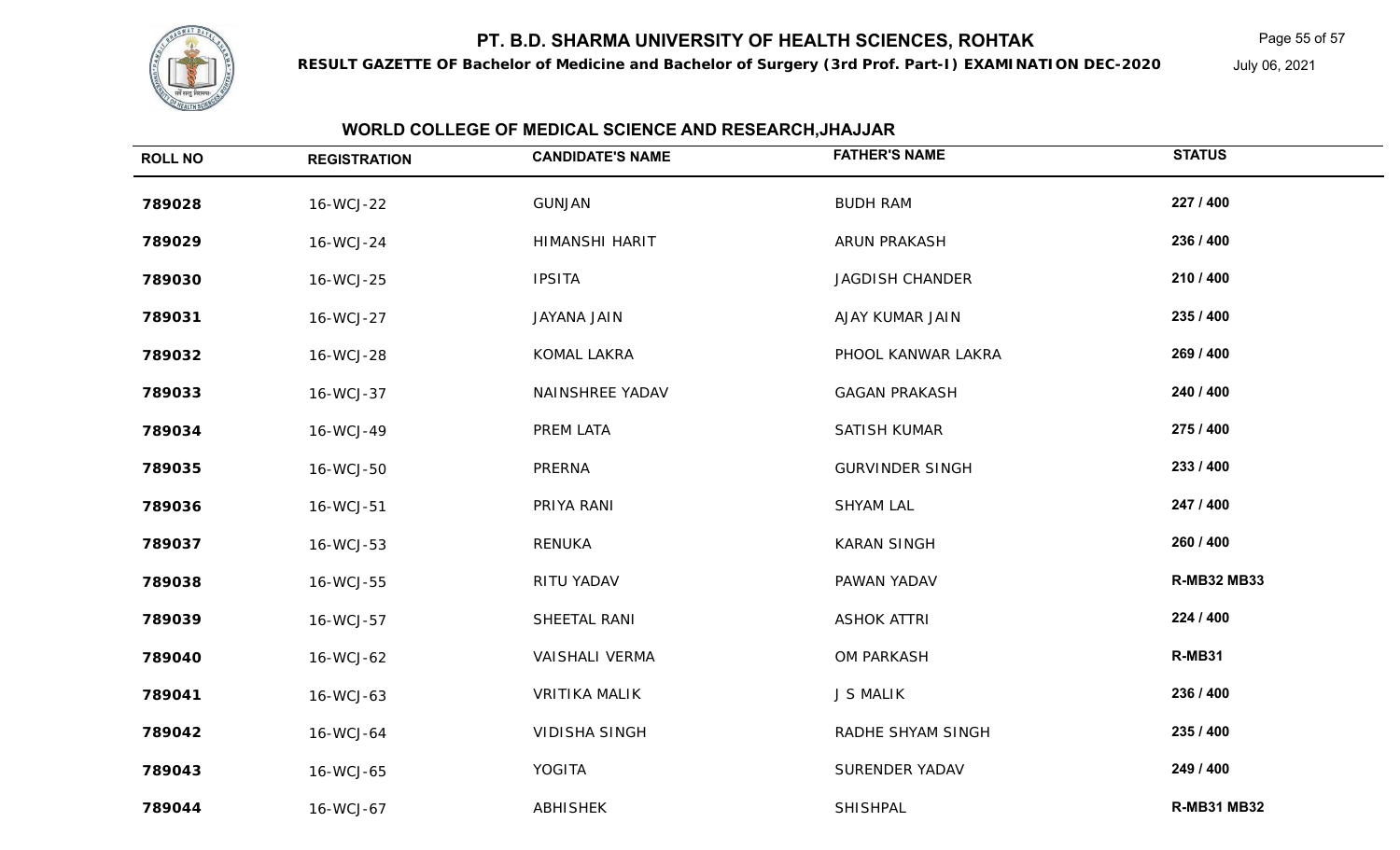

**RESULT GAZETTE OF Bachelor of Medicine and Bachelor of Surgery (3rd Prof. Part-I) EXAMINATION DEC-2020**

Page 55 of 57

July 06, 2021

| <b>ROLL NO</b> | <b>REGISTRATION</b> | <b>CANDIDATE'S NAME</b> | <b>FATHER'S NAME</b>   | <b>STATUS</b>      |
|----------------|---------------------|-------------------------|------------------------|--------------------|
| 789028         | 16-WCJ-22           | <b>GUNJAN</b>           | <b>BUDH RAM</b>        | 227 / 400          |
| 789029         | 16-WCJ-24           | HIMANSHI HARIT          | ARUN PRAKASH           | 236 / 400          |
| 789030         | 16-WCJ-25           | <b>IPSITA</b>           | <b>JAGDISH CHANDER</b> | 210 / 400          |
| 789031         | 16-WCJ-27           | JAYANA JAIN             | AJAY KUMAR JAIN        | 235 / 400          |
| 789032         | 16-WCJ-28           | KOMAL LAKRA             | PHOOL KANWAR LAKRA     | 269 / 400          |
| 789033         | 16-WCJ-37           | NAINSHREE YADAV         | <b>GAGAN PRAKASH</b>   | 240 / 400          |
| 789034         | 16-WCJ-49           | PREM LATA               | SATISH KUMAR           | 275 / 400          |
| 789035         | 16-WCJ-50           | PRERNA                  | <b>GURVINDER SINGH</b> | 233 / 400          |
| 789036         | 16-WCJ-51           | PRIYA RANI              | <b>SHYAM LAL</b>       | 247 / 400          |
| 789037         | 16-WCJ-53           | RENUKA                  | <b>KARAN SINGH</b>     | 260 / 400          |
| 789038         | 16-WCJ-55           | RITU YADAV              | PAWAN YADAV            | <b>R-MB32 MB33</b> |
| 789039         | 16-WCJ-57           | SHEETAL RANI            | <b>ASHOK ATTRI</b>     | 224 / 400          |
| 789040         | 16-WCJ-62           | <b>VAISHALI VERMA</b>   | OM PARKASH             | R-MB31             |
| 789041         | 16-WCJ-63           | <b>VRITIKA MALIK</b>    | <b>J S MALIK</b>       | 236 / 400          |
| 789042         | 16-WCJ-64           | <b>VIDISHA SINGH</b>    | RADHE SHYAM SINGH      | 235 / 400          |
| 789043         | 16-WCJ-65           | <b>YOGITA</b>           | SURENDER YADAV         | 249 / 400          |
| 789044         | 16-WCJ-67           | <b>ABHISHEK</b>         | SHISHPAL               | <b>R-MB31 MB32</b> |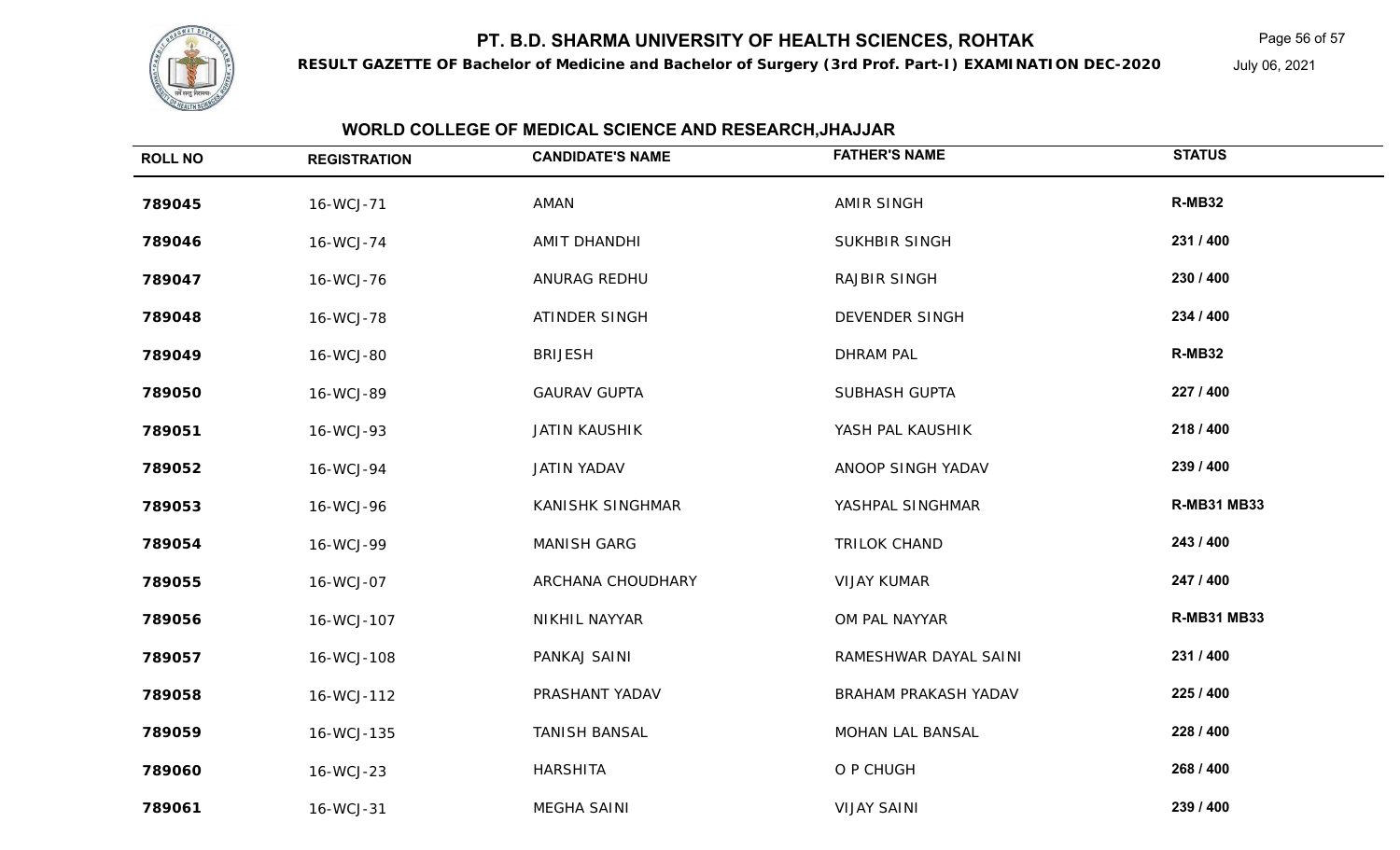

**RESULT GAZETTE OF Bachelor of Medicine and Bachelor of Surgery (3rd Prof. Part-I) EXAMINATION DEC-2020**

Page 56 of 57

July 06, 2021

| <b>ROLL NO</b> | <b>REGISTRATION</b> | <b>CANDIDATE'S NAME</b> | <b>FATHER'S NAME</b>  | <b>STATUS</b>      |
|----------------|---------------------|-------------------------|-----------------------|--------------------|
| 789045         | 16-WCJ-71           | AMAN                    | <b>AMIR SINGH</b>     | <b>R-MB32</b>      |
| 789046         | 16-WCJ-74           | AMIT DHANDHI            | SUKHBIR SINGH         | 231 / 400          |
| 789047         | 16-WCJ-76           | ANURAG REDHU            | <b>RAJBIR SINGH</b>   | 230 / 400          |
| 789048         | 16-WCJ-78           | ATINDER SINGH           | <b>DEVENDER SINGH</b> | 234 / 400          |
| 789049         | 16-WCJ-80           | <b>BRIJESH</b>          | <b>DHRAM PAL</b>      | R-MB32             |
| 789050         | 16-WCJ-89           | <b>GAURAV GUPTA</b>     | <b>SUBHASH GUPTA</b>  | 227 / 400          |
| 789051         | 16-WCJ-93           | <b>JATIN KAUSHIK</b>    | YASH PAL KAUSHIK      | 218 / 400          |
| 789052         | 16-WCJ-94           | JATIN YADAV             | ANOOP SINGH YADAV     | 239 / 400          |
| 789053         | 16-WCJ-96           | <b>KANISHK SINGHMAR</b> | YASHPAL SINGHMAR      | <b>R-MB31 MB33</b> |
| 789054         | 16-WCJ-99           | <b>MANISH GARG</b>      | <b>TRILOK CHAND</b>   | 243 / 400          |
| 789055         | 16-WCJ-07           | ARCHANA CHOUDHARY       | <b>VIJAY KUMAR</b>    | 247 / 400          |
| 789056         | 16-WCJ-107          | NIKHIL NAYYAR           | OM PAL NAYYAR         | <b>R-MB31 MB33</b> |
| 789057         | 16-WCJ-108          | PANKAJ SAINI            | RAMESHWAR DAYAL SAINI | 231 / 400          |
| 789058         | 16-WCJ-112          | PRASHANT YADAV          | BRAHAM PRAKASH YADAV  | 225 / 400          |
| 789059         | 16-WCJ-135          | <b>TANISH BANSAL</b>    | MOHAN LAL BANSAL      | 228 / 400          |
| 789060         | 16-WCJ-23           | HARSHITA                | O P CHUGH             | 268 / 400          |
| 789061         | 16-WCJ-31           | <b>MEGHA SAINI</b>      | <b>VIJAY SAINI</b>    | 239 / 400          |